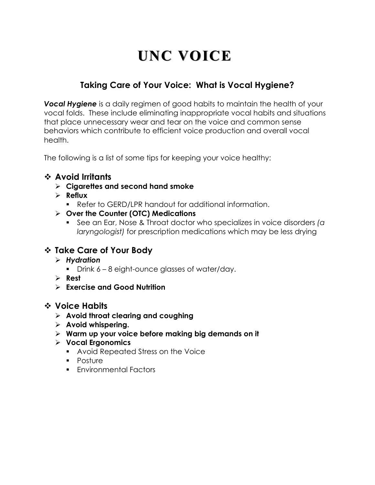# **UNC VOICE**

## **Taking Care of Your Voice: What is Vocal Hygiene? CENTER**

**Vocal Hygiene** is a daily regimen of good habits to maintain the health of your vocal folds. These include eliminating inappropriate vocal habits and situations that place unnecessary wear and tear on the voice and common sense behaviors which contribute to efficient voice production and overall vocal health.

The following is a list of some tips for keeping your voice healthy:

### v **Avoid Irritants**

- Ø **Cigarettes and second hand smoke**
- Ø **Reflux**
	- Refer to GERD/LPR handout for additional information.
- Ø **Over the Counter (OTC) Medications**
	- See an Ear, Nose & Throat doctor who specializes in voice disorders *(a laryngologist)* for prescription medications which may be less drying

### v **Take Care of Your Body**

- Ø *Hydration*
	- Drink 6 8 eight-ounce glasses of water/day.
- Ø **Rest**
- Ø **Exercise and Good Nutrition**

### v **Voice Habits**

- Ø **Avoid throat clearing and coughing**
- Ø **Avoid whispering.**
- Ø **Warm up your voice before making big demands on it**
- Ø **Vocal Ergonomics**
	- Avoid Repeated Stress on the Voice
	- Posture
	- Environmental Factors